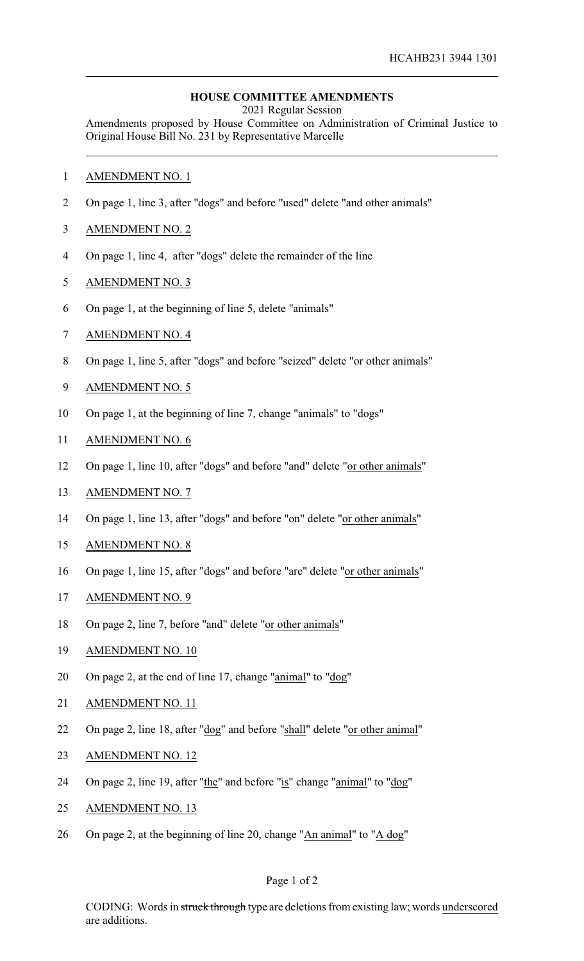## **HOUSE COMMITTEE AMENDMENTS**

2021 Regular Session

Amendments proposed by House Committee on Administration of Criminal Justice to Original House Bill No. 231 by Representative Marcelle

- AMENDMENT NO. 1
- On page 1, line 3, after "dogs" and before "used" delete "and other animals"
- AMENDMENT NO. 2
- On page 1, line 4, after "dogs" delete the remainder of the line
- AMENDMENT NO. 3
- On page 1, at the beginning of line 5, delete "animals"
- AMENDMENT NO. 4
- On page 1, line 5, after "dogs" and before "seized" delete "or other animals"
- AMENDMENT NO. 5
- On page 1, at the beginning of line 7, change "animals" to "dogs"
- AMENDMENT NO. 6
- On page 1, line 10, after "dogs" and before "and" delete "or other animals"
- AMENDMENT NO. 7
- On page 1, line 13, after "dogs" and before "on" delete "or other animals"
- AMENDMENT NO. 8
- On page 1, line 15, after "dogs" and before "are" delete "or other animals"
- AMENDMENT NO. 9
- On page 2, line 7, before "and" delete "or other animals"
- AMENDMENT NO. 10
- 20 On page 2, at the end of line 17, change "animal" to "dog"
- AMENDMENT NO. 11
- 22 On page 2, line 18, after "dog" and before "shall" delete "or other animal"
- AMENDMENT NO. 12
- 24 On page 2, line 19, after "the" and before "is" change "animal" to "dog"
- 25 AMENDMENT NO. 13
- On page 2, at the beginning of line 20, change "An animal" to "A dog"

CODING: Words in struck through type are deletions from existing law; words underscored are additions.